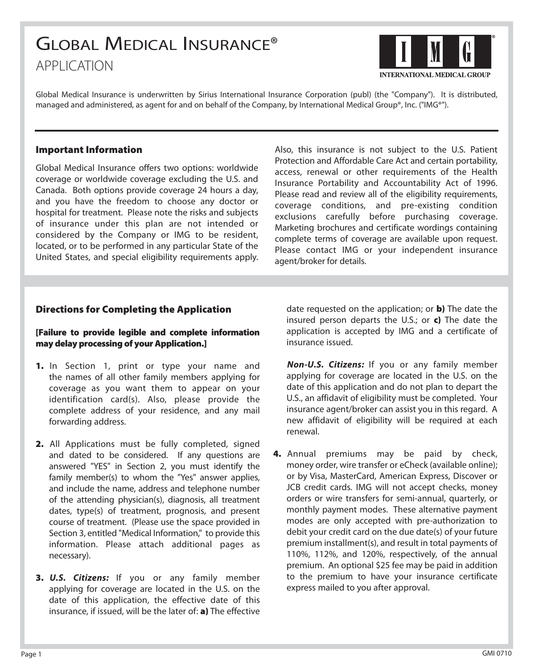# GLOBAL MEDICAL INSURANCE® APPLICATION



Global Medical Insurance is underwritten by Sirius International Insurance Corporation (publ) (the "Company"). It is distributed, managed and administered, as agent for and on behalf of the Company, by International Medical Group®, Inc. ("IMG®").

#### **Important Information**

Global Medical Insurance offers two options: worldwide coverage or worldwide coverage excluding the U.S. and Canada. Both options provide coverage 24 hours a day, and you have the freedom to choose any doctor or hospital for treatment. Please note the risks and subjects of insurance under this plan are not intended or considered by the Company or IMG to be resident, located, or to be performed in any particular State of the United States, and special eligibility requirements apply.

Also, this insurance is not subject to the U.S. Patient Protection and Affordable Care Act and certain portability, access, renewal or other requirements of the Health Insurance Portability and Accountability Act of 1996. Please read and review all of the eligibility requirements, coverage conditions, and pre-existing condition exclusions carefully before purchasing coverage. Marketing brochures and certificate wordings containing complete terms of coverage are available upon request. Please contact IMG or your independent insurance agent/broker for details.

#### **Directions for Completing the Application**

#### **[Failure to provide legible and complete information may delay processing of your Application.]**

- **1.** In Section 1, print or type your name and the names of all other family members applying for coverage as you want them to appear on your identification card(s). Also, please provide the complete address of your residence, and any mail forwarding address.
- **2.** All Applications must be fully completed, signed and dated to be considered. If any questions are answered "YES" in Section 2, you must identify the family member(s) to whom the "Yes" answer applies, and include the name, address and telephone number of the attending physician(s), diagnosis, all treatment dates, type(s) of treatment, prognosis, and present course of treatment. (Please use the space provided in Section 3, entitled "Medical Information," to provide this information. Please attach additional pages as necessary).
- **3.** *U.S. Citizens:* If you or any family member applying for coverage are located in the U.S. on the date of this application, the effective date of this insurance, if issued, will be the later of: **a)** The effective

date requested on the application; or **b)** The date the insured person departs the U.S.; or **c)** The date the application is accepted by IMG and a certificate of insurance issued.

- *Non-U.S. Citizens:* If you or any family member applying for coverage are located in the U.S. on the date of this application and do not plan to depart the U.S., an affidavit of eligibility must be completed. Your insurance agent/broker can assist you in this regard. A new affidavit of eligibility will be required at each renewal.
- **4.** Annual premiums may be paid by check, money order, wire transfer or eCheck (available online); or by Visa, MasterCard, American Express, Discover or JCB credit cards. IMG will not accept checks, money orders or wire transfers for semi-annual, quarterly, or monthly payment modes. These alternative payment modes are only accepted with pre-authorization to debit your credit card on the due date(s) of your future premium installment(s), and result in total payments of 110%, 112%, and 120%, respectively, of the annual premium. An optional \$25 fee may be paid in addition to the premium to have your insurance certificate express mailed to you after approval.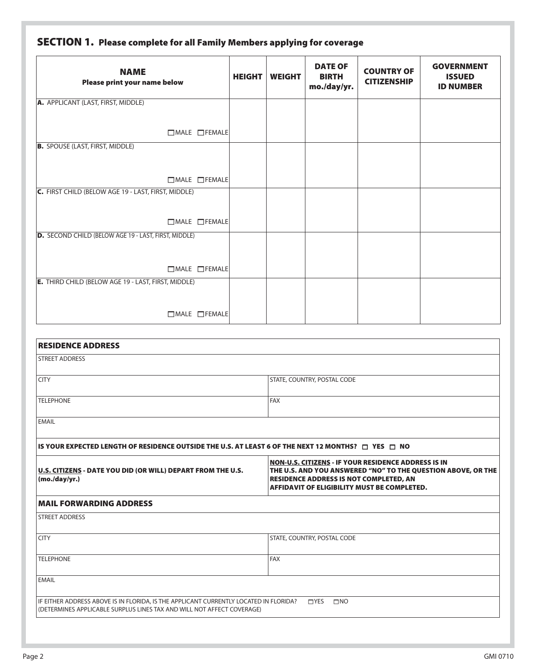|  |  |  | SECTION 1. Please complete for all Family Members applying for coverage |  |
|--|--|--|-------------------------------------------------------------------------|--|
|--|--|--|-------------------------------------------------------------------------|--|

| <b>NAME</b><br>Please print your name below          | <b>HEIGHT</b> | <b>WEIGHT</b> | <b>DATE OF</b><br><b>BIRTH</b><br>mo./day/yr. | <b>COUNTRY OF</b><br><b>CITIZENSHIP</b> | <b>GOVERNMENT</b><br><b>ISSUED</b><br><b>ID NUMBER</b> |
|------------------------------------------------------|---------------|---------------|-----------------------------------------------|-----------------------------------------|--------------------------------------------------------|
| A. APPLICANT (LAST, FIRST, MIDDLE)                   |               |               |                                               |                                         |                                                        |
| $\Box$ MALE $\Box$ FEMALE                            |               |               |                                               |                                         |                                                        |
| <b>B.</b> SPOUSE (LAST, FIRST, MIDDLE)               |               |               |                                               |                                         |                                                        |
| $\Box$ MALE $\Box$ FEMALE                            |               |               |                                               |                                         |                                                        |
| C. FIRST CHILD (BELOW AGE 19 - LAST, FIRST, MIDDLE)  |               |               |                                               |                                         |                                                        |
| $\Box$ MALE $\Box$ FEMALE                            |               |               |                                               |                                         |                                                        |
| D. SECOND CHILD (BELOW AGE 19 - LAST, FIRST, MIDDLE) |               |               |                                               |                                         |                                                        |
| $\Box$ MALE $\Box$ FEMALE                            |               |               |                                               |                                         |                                                        |
| E. THIRD CHILD (BELOW AGE 19 - LAST, FIRST, MIDDLE)  |               |               |                                               |                                         |                                                        |
| $\Box$ MALE $\Box$ FEMALE                            |               |               |                                               |                                         |                                                        |

| <b>RESIDENCE ADDRESS</b>                                                                                                                                        |                                                                                                                                                                                                                     |
|-----------------------------------------------------------------------------------------------------------------------------------------------------------------|---------------------------------------------------------------------------------------------------------------------------------------------------------------------------------------------------------------------|
| <b>STREET ADDRESS</b>                                                                                                                                           |                                                                                                                                                                                                                     |
| <b>CITY</b>                                                                                                                                                     | STATE, COUNTRY, POSTAL CODE                                                                                                                                                                                         |
| <b>TELEPHONE</b>                                                                                                                                                | <b>FAX</b>                                                                                                                                                                                                          |
| <b>EMAIL</b>                                                                                                                                                    |                                                                                                                                                                                                                     |
| IS YOUR EXPECTED LENGTH OF RESIDENCE OUTSIDE THE U.S. AT LEAST 6 OF THE NEXT 12 MONTHS? $\Box$ YES $\Box$ NO                                                    |                                                                                                                                                                                                                     |
| U.S. CITIZENS - DATE YOU DID (OR WILL) DEPART FROM THE U.S.<br>(mod/yr.)                                                                                        | NON-U.S. CITIZENS - IF YOUR RESIDENCE ADDRESS IS IN<br>THE U.S. AND YOU ANSWERED "NO" TO THE QUESTION ABOVE, OR THE<br><b>RESIDENCE ADDRESS IS NOT COMPLETED, AN</b><br>AFFIDAVIT OF ELIGIBILITY MUST BE COMPLETED. |
| <b>MAIL FORWARDING ADDRESS</b>                                                                                                                                  |                                                                                                                                                                                                                     |
| <b>STREET ADDRESS</b>                                                                                                                                           |                                                                                                                                                                                                                     |
| <b>CITY</b>                                                                                                                                                     | STATE, COUNTRY, POSTAL CODE                                                                                                                                                                                         |
| <b>TELEPHONE</b>                                                                                                                                                | <b>FAX</b>                                                                                                                                                                                                          |
| <b>EMAIL</b>                                                                                                                                                    |                                                                                                                                                                                                                     |
| IF EITHER ADDRESS ABOVE IS IN FLORIDA, IS THE APPLICANT CURRENTLY LOCATED IN FLORIDA?<br>(DETERMINES APPLICABLE SURPLUS LINES TAX AND WILL NOT AFFECT COVERAGE) | $\Box$ YES<br>$\square$ NO                                                                                                                                                                                          |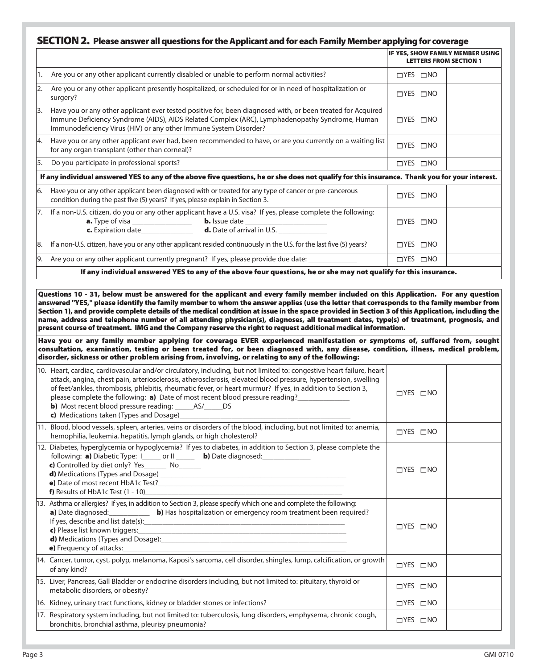#### **SECTION 2. Please answer all questions for the Applicant and for each Family Member applying for coverage**

|     |                                                                                                                                                                                                                                                                                                                                                                                                                                      | IF YES, SHOW FAMILY MEMBER USING<br><b>LETTERS FROM SECTION 1</b> |  |
|-----|--------------------------------------------------------------------------------------------------------------------------------------------------------------------------------------------------------------------------------------------------------------------------------------------------------------------------------------------------------------------------------------------------------------------------------------|-------------------------------------------------------------------|--|
| 11. | Are you or any other applicant currently disabled or unable to perform normal activities?                                                                                                                                                                                                                                                                                                                                            | $\Box$ YES $\Box$ NO                                              |  |
| 12. | Are you or any other applicant presently hospitalized, or scheduled for or in need of hospitalization or<br>surgery?                                                                                                                                                                                                                                                                                                                 | $\Box$ YES $\Box$ NO                                              |  |
| 13. | Have you or any other applicant ever tested positive for, been diagnosed with, or been treated for Acquired<br>Immune Deficiency Syndrome (AIDS), AIDS Related Complex (ARC), Lymphadenopathy Syndrome, Human<br>Immunodeficiency Virus (HIV) or any other Immune System Disorder?                                                                                                                                                   | $\sqcap$ YES $\sqcap$ NO                                          |  |
| 14. | Have you or any other applicant ever had, been recommended to have, or are you currently on a waiting list<br>for any organ transplant (other than corneal)?                                                                                                                                                                                                                                                                         | $\Box$ YES $\Box$ NO                                              |  |
| 5.  | Do you participate in professional sports?                                                                                                                                                                                                                                                                                                                                                                                           | $\Box$ YES $\Box$ NO                                              |  |
|     | If any individual answered YES to any of the above five questions, he or she does not qualify for this insurance. Thank you for your interest.                                                                                                                                                                                                                                                                                       |                                                                   |  |
| 16. | Have you or any other applicant been diagnosed with or treated for any type of cancer or pre-cancerous<br>condition during the past five (5) years? If yes, please explain in Section 3.                                                                                                                                                                                                                                             | $\Box$ YES $\Box$ NO                                              |  |
|     | 7. If a non-U.S. citizen, do you or any other applicant have a U.S. visa? If yes, please complete the following:<br><b>a.</b> Type of visa ___________________ <b>b.</b> Issue date ____________________________                                                                                                                                                                                                                     | $\sqcap$ YES $\sqcap$ NO                                          |  |
|     | 8. If a non-U.S. citizen, have you or any other applicant resided continuously in the U.S. for the last five (5) years?                                                                                                                                                                                                                                                                                                              | $\Box$ YES $\Box$ NO                                              |  |
| 19. | Are you or any other applicant currently pregnant? If yes, please provide due date:                                                                                                                                                                                                                                                                                                                                                  | $\Box$ YES $\Box$ NO                                              |  |
|     | If any individual answered YES to any of the above four questions, he or she may not qualify for this insurance.                                                                                                                                                                                                                                                                                                                     |                                                                   |  |
|     |                                                                                                                                                                                                                                                                                                                                                                                                                                      |                                                                   |  |
|     | Questions 10 - 31, below must be answered for the applicant and every family member included on this Application. For any question<br>answered "YES," please identify the family member to whom the answer applies (use the letter that corresponds to the family member from<br>Castlery 9), and monitor complete details of the medicin condition of form in the cases monitorial in Castlery 3 of this Amplication, including the |                                                                   |  |

**Section 1), and provide complete details of the medical condition at issue in the space provided in Section 3 of this Application, including the name, address and telephone number of all attending physician(s), diagnoses, all treatment dates, type(s) of treatment, prognosis, and present course of treatment. IMG and the Company reserve the right to request additional medical information.**

**Have you or any family member applying for coverage EVER experienced manifestation or symptoms of, suffered from, sought consultation, examination, testing or been treated for, or been diagnosed with, any disease, condition, illness, medical problem, disorder, sickness or other problem arising from, involving, or relating to any of the following:** 

| 10. Heart, cardiac, cardiovascular and/or circulatory, including, but not limited to: congestive heart failure, heart<br>attack, angina, chest pain, arteriosclerosis, atherosclerosis, elevated blood pressure, hypertension, swelling<br>of feet/ankles, thrombosis, phlebitis, rheumatic fever, or heart murmur? If yes, in addition to Section 3,<br>please complete the following: a) Date of most recent blood pressure reading?<br><b>b</b> ) Most recent blood pressure reading: _______ AS/______ DS<br>c) Medications taken (Types and Dosage) $\blacksquare$ | $\Box$ YES $\Box$ NO |  |
|-------------------------------------------------------------------------------------------------------------------------------------------------------------------------------------------------------------------------------------------------------------------------------------------------------------------------------------------------------------------------------------------------------------------------------------------------------------------------------------------------------------------------------------------------------------------------|----------------------|--|
| 11. Blood, blood vessels, spleen, arteries, veins or disorders of the blood, including, but not limited to: anemia,<br>hemophilia, leukemia, hepatitis, lymph glands, or high cholesterol?                                                                                                                                                                                                                                                                                                                                                                              | $\Box$ YES $\Box$ NO |  |
| 12. Diabetes, hyperglycemia or hypoglycemia? If yes to diabetes, in addition to Section 3, please complete the<br>following: <b>a</b> ) Diabetic Type: I______ or II _____ <b>b</b> ) Date diagnosed: _____________<br>c) Controlled by diet only? Yes No<br>$f$ ) Results of HbA1c Test $(1 - 10)$                                                                                                                                                                                                                                                                     | $\Box$ YES $\Box$ NO |  |
| 13. Asthma or allergies? If yes, in addition to Section 3, please specify which one and complete the following:<br>a) Date diagnosed:<br><b>b)</b> Has hospitalization or emergency room treatment been required?<br>e) Frequency of attacks: example and a series of the series of the series of the series of the series of the series of the series of the series of the series of the series of the series of the series of the series of the s                                                                                                                     | $\Box$ YES $\Box$ NO |  |
| 14. Cancer, tumor, cyst, polyp, melanoma, Kaposi's sarcoma, cell disorder, shingles, lump, calcification, or growth<br>of any kind?                                                                                                                                                                                                                                                                                                                                                                                                                                     | $\Box$ YES $\Box$ NO |  |
| 15. Liver, Pancreas, Gall Bladder or endocrine disorders including, but not limited to: pituitary, thyroid or<br>metabolic disorders, or obesity?                                                                                                                                                                                                                                                                                                                                                                                                                       | $\Box$ YES $\Box$ NO |  |
| 16. Kidney, urinary tract functions, kidney or bladder stones or infections?                                                                                                                                                                                                                                                                                                                                                                                                                                                                                            | $\Box$ YES $\Box$ NO |  |
| 17. Respiratory system including, but not limited to: tuberculosis, lung disorders, emphysema, chronic cough,<br>bronchitis, bronchial asthma, pleurisy pneumonia?                                                                                                                                                                                                                                                                                                                                                                                                      | $\Box$ YES $\Box$ NO |  |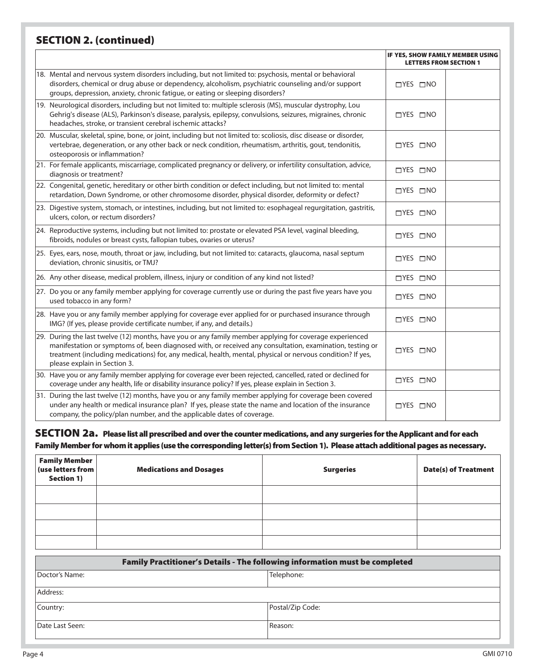## **SECTION 2. (continued)**

|                                                                                                                                                                                                                                                                                                                                                                   | IF YES, SHOW FAMILY MEMBER USING<br><b>LETTERS FROM SECTION 1</b> |
|-------------------------------------------------------------------------------------------------------------------------------------------------------------------------------------------------------------------------------------------------------------------------------------------------------------------------------------------------------------------|-------------------------------------------------------------------|
| 18. Mental and nervous system disorders including, but not limited to: psychosis, mental or behavioral<br>disorders, chemical or drug abuse or dependency, alcoholism, psychiatric counseling and/or support<br>groups, depression, anxiety, chronic fatique, or eating or sleeping disorders?                                                                    | $\Box$ YES $\Box$ NO                                              |
| 19. Neurological disorders, including but not limited to: multiple sclerosis (MS), muscular dystrophy, Lou<br>Gehrig's disease (ALS), Parkinson's disease, paralysis, epilepsy, convulsions, seizures, migraines, chronic<br>headaches, stroke, or transient cerebral ischemic attacks?                                                                           | $\Box$ YES $\Box$ NO                                              |
| 20. Muscular, skeletal, spine, bone, or joint, including but not limited to: scoliosis, disc disease or disorder,<br>vertebrae, degeneration, or any other back or neck condition, rheumatism, arthritis, gout, tendonitis,<br>osteoporosis or inflammation?                                                                                                      | $\Box$ YES $\Box$ NO                                              |
| 21. For female applicants, miscarriage, complicated pregnancy or delivery, or infertility consultation, advice,<br>diagnosis or treatment?                                                                                                                                                                                                                        | $\Box$ YES $\Box$ NO                                              |
| 22. Congenital, genetic, hereditary or other birth condition or defect including, but not limited to: mental<br>retardation, Down Syndrome, or other chromosome disorder, physical disorder, deformity or defect?                                                                                                                                                 | $\Box$ YES $\Box$ NO                                              |
| [23. Digestive system, stomach, or intestines, including, but not limited to: esophageal regurgitation, gastritis,<br>ulcers, colon, or rectum disorders?                                                                                                                                                                                                         | $\Box$ YES $\Box$ NO                                              |
| 24. Reproductive systems, including but not limited to: prostate or elevated PSA level, vaginal bleeding,<br>fibroids, nodules or breast cysts, fallopian tubes, ovaries or uterus?                                                                                                                                                                               | $\Box$ YES $\Box$ NO                                              |
| 25. Eyes, ears, nose, mouth, throat or jaw, including, but not limited to: cataracts, glaucoma, nasal septum<br>deviation, chronic sinusitis, or TMJ?                                                                                                                                                                                                             | $\Box$ YES $\Box$ NO                                              |
| 26. Any other disease, medical problem, illness, injury or condition of any kind not listed?                                                                                                                                                                                                                                                                      | $\Box$ YES $\Box$ NO                                              |
| 27. Do you or any family member applying for coverage currently use or during the past five years have you<br>used tobacco in any form?                                                                                                                                                                                                                           | $\Box$ YES $\Box$ NO                                              |
| 28. Have you or any family member applying for coverage ever applied for or purchased insurance through<br>IMG? (If yes, please provide certificate number, if any, and details.)                                                                                                                                                                                 | □YES □NO                                                          |
| 29. During the last twelve (12) months, have you or any family member applying for coverage experienced<br>manifestation or symptoms of, been diagnosed with, or received any consultation, examination, testing or<br>treatment (including medications) for, any medical, health, mental, physical or nervous condition? If yes,<br>please explain in Section 3. | $\Box$ YES $\Box$ NO                                              |
| 30. Have you or any family member applying for coverage ever been rejected, cancelled, rated or declined for<br>coverage under any health, life or disability insurance policy? If yes, please explain in Section 3.                                                                                                                                              | $\Box$ YES $\Box$ NO                                              |
| 31. During the last twelve (12) months, have you or any family member applying for coverage been covered<br>under any health or medical insurance plan? If yes, please state the name and location of the insurance<br>company, the policy/plan number, and the applicable dates of coverage.                                                                     | $\Box$ YES $\Box$ NO                                              |

#### **SECTION 2a. Please list all prescribed and over the counter medications, and any surgeries for the Applicant and for each Family Member for whom it applies (use the corresponding letter(s) from Section 1). Please attach additional pages as necessary.**

| Family Member<br> use letters from<br>Section 1) | <b>Medications and Dosages</b> | <b>Surgeries</b> | <b>Date(s) of Treatment</b> |
|--------------------------------------------------|--------------------------------|------------------|-----------------------------|
|                                                  |                                |                  |                             |
|                                                  |                                |                  |                             |
|                                                  |                                |                  |                             |
|                                                  |                                |                  |                             |

| Family Practitioner's Details - The following information must be completed |                  |  |
|-----------------------------------------------------------------------------|------------------|--|
| Doctor's Name:                                                              | Telephone:       |  |
| Address:                                                                    |                  |  |
| Country:                                                                    | Postal/Zip Code: |  |
| Date Last Seen:                                                             | Reason:          |  |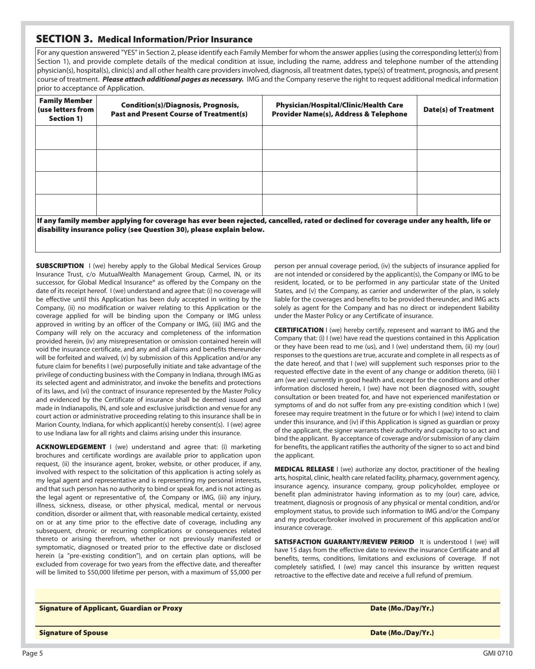#### **SECTION 3. Medical Information/Prior Insurance**

For any question answered "YES" in Section 2, please identify each Family Member for whom the answer applies (using the corresponding letter(s) from Section 1), and provide complete details of the medical condition at issue, including the name, address and telephone number of the attending physician(s), hospital(s), clinic(s) and all other health care providers involved, diagnosis, all treatment dates, type(s) of treatment, prognosis, and present course of treatment. *Please attach additional pages as necessary.* IMG and the Company reserve the right to request additional medical information prior to acceptance of Application.

| <b>Family Member</b><br>(use letters from<br>Section 1) | <b>Condition(s)/Diagnosis, Prognosis,</b><br><b>Past and Present Course of Treatment(s)</b>                                                                                                                    | <b>Physician/Hospital/Clinic/Health Care</b><br><b>Provider Name(s), Address &amp; Telephone</b> | <b>Date(s) of Treatment</b> |  |  |
|---------------------------------------------------------|----------------------------------------------------------------------------------------------------------------------------------------------------------------------------------------------------------------|--------------------------------------------------------------------------------------------------|-----------------------------|--|--|
|                                                         |                                                                                                                                                                                                                |                                                                                                  |                             |  |  |
|                                                         |                                                                                                                                                                                                                |                                                                                                  |                             |  |  |
|                                                         |                                                                                                                                                                                                                |                                                                                                  |                             |  |  |
|                                                         |                                                                                                                                                                                                                |                                                                                                  |                             |  |  |
|                                                         | lf any family member applying for coverage has ever been rejected, cancelled, rated or declined for coverage under any health, life or<br>disability insurance policy (see Question 30), please explain below. |                                                                                                  |                             |  |  |

**SUBSCRIPTION** I (we) hereby apply to the Global Medical Services Group Insurance Trust, c/o MutualWealth Management Group, Carmel, IN, or its successor, for Global Medical Insurance® as offered by the Company on the date of its receipt hereof. I (we) understand and agree that: (i) no coverage will be effective until this Application has been duly accepted in writing by the Company, (ii) no modification or waiver relating to this Application or the coverage applied for will be binding upon the Company or IMG unless approved in writing by an officer of the Company or IMG, (iii) IMG and the Company will rely on the accuracy and completeness of the information provided herein, (iv) any misrepresentation or omission contained herein will void the insurance certificate, and any and all claims and benefits thereunder will be forfeited and waived, (v) by submission of this Application and/or any future claim for benefits I (we) purposefully initiate and take advantage of the privilege of conducting business with the Company in Indiana, through IMG as its selected agent and administrator, and invoke the benefits and protections of its laws, and (vi) the contract of insurance represented by the Master Policy and evidenced by the Certificate of insurance shall be deemed issued and made in Indianapolis, IN, and sole and exclusive jurisdiction and venue for any court action or administrative proceeding relating to this insurance shall be in Marion County, Indiana, for which applicant(s) hereby consent(s). I (we) agree to use Indiana law for all rights and claims arising under this insurance.

**ACKNOWLEDGEMENT** I (we) understand and agree that: (i) marketing brochures and certificate wordings are available prior to application upon request, (ii) the insurance agent, broker, website, or other producer, if any, involved with respect to the solicitation of this application is acting solely as my legal agent and representative and is representing my personal interests, and that such person has no authority to bind or speak for, and is not acting as the legal agent or representative of, the Company or IMG, (iii) any injury, illness, sickness, disease, or other physical, medical, mental or nervous condition, disorder or ailment that, with reasonable medical certainty, existed on or at any time prior to the effective date of coverage, including any subsequent, chronic or recurring complications or consequences related thereto or arising therefrom, whether or not previously manifested or symptomatic, diagnosed or treated prior to the effective date or disclosed herein (a "pre-existing condition"), and on certain plan options, will be excluded from coverage for two years from the effective date, and thereafter will be limited to \$50,000 lifetime per person, with a maximum of \$5,000 per

person per annual coverage period, (iv) the subjects of insurance applied for are not intended or considered by the applicant(s), the Company or IMG to be resident, located, or to be performed in any particular state of the United States, and (v) the Company, as carrier and underwriter of the plan, is solely liable for the coverages and benefits to be provided thereunder, and IMG acts solely as agent for the Company and has no direct or independent liability under the Master Policy or any Certificate of insurance.

**CERTIFICATION** I (we) hereby certify, represent and warrant to IMG and the Company that: (i) I (we) have read the questions contained in this Application or they have been read to me (us), and I (we) understand them, (ii) my (our) responses to the questions are true, accurate and complete in all respects as of the date hereof, and that I (we) will supplement such responses prior to the requested effective date in the event of any change or addition thereto, (iii) I am (we are) currently in good health and, except for the conditions and other information disclosed herein, I (we) have not been diagnosed with, sought consultation or been treated for, and have not experienced manifestation or symptoms of and do not suffer from any pre-existing condition which I (we) foresee may require treatment in the future or for which I (we) intend to claim under this insurance, and (iv) if this Application is signed as guardian or proxy of the applicant, the signer warrants their authority and capacity to so act and bind the applicant. By acceptance of coverage and/or submission of any claim for benefits, the applicant ratifies the authority of the signer to so act and bind the applicant.

**MEDICAL RELEASE** I (we) authorize any doctor, practitioner of the healing arts, hospital, clinic, health care related facility, pharmacy, government agency, insurance agency, insurance company, group policyholder, employee or benefit plan administrator having information as to my (our) care, advice, treatment, diagnosis or prognosis of any physical or mental condition, and/or employment status, to provide such information to IMG and/or the Company and my producer/broker involved in procurement of this application and/or insurance coverage.

**SATISFACTION GUARANTY/REVIEW PERIOD** It is understood I (we) will have 15 days from the effective date to review the insurance Certificate and all benefits, terms, conditions, limitations and exclusions of coverage. If not completely satisfied, I (we) may cancel this insurance by written request retroactive to the effective date and receive a full refund of premium.

#### **Signature of Applicant, Guardian or Proxy Date (Mo./Day/Yr.) Date (Mo./Day/Yr.)**

**Signature of Spouse Date (Mo./Day/Yr.)**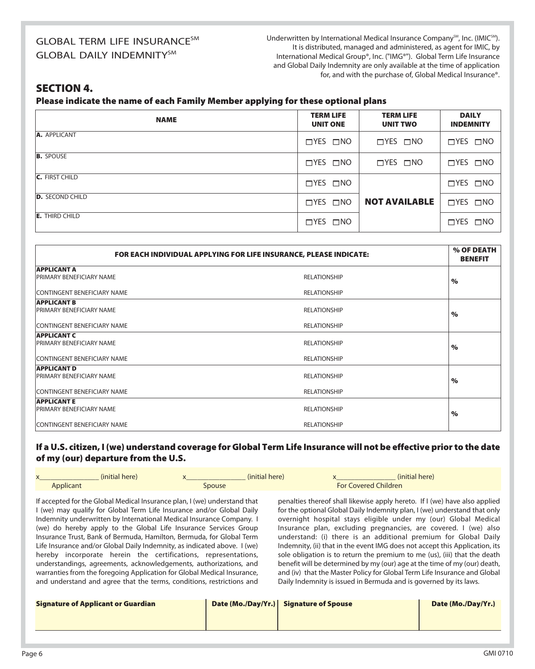## GLOBAL TERM LIFE INSURANCE<sup>SM</sup> **GLOBAL DAILY INDEMNITYSM**

Underwritten by International Medical Insurance Company<sup>SM</sup>, Inc. (IMIC<sup>SM</sup>). It is distributed, managed and administered, as agent for IMIC, by International Medical Group®, Inc. ("IMG®"). Global Term Life Insurance and Global Daily Indemnity are only available at the time of application for, and with the purchase of, Global Medical Insurance®.

### **SECTION 4.**

**Please indicate the name of each Family Member applying for these optional plans** 

| <b>NAME</b>            | <b>TERM LIFE</b><br><b>UNIT ONE</b> | <b>TERM LIFE</b><br><b>UNIT TWO</b> | <b>DAILY</b><br><b>INDEMNITY</b> |
|------------------------|-------------------------------------|-------------------------------------|----------------------------------|
| A. APPLICANT           | $\Box$ YES $\Box$ NO                | $\Box$ YES $\Box$ NO                | $\Box$ YES $\Box$ NO             |
| <b>B.</b> SPOUSE       | $\Box$ YES $\Box$ NO                | $\Box$ YES $\Box$ NO                | $\Box$ YES $\Box$ NO             |
| <b>C.</b> FIRST CHILD  | $\Box$ YES $\Box$ NO                |                                     | $\Box$ YES $\Box$ NO             |
| <b>D.</b> SECOND CHILD | $\Box$ YES $\Box$ NO                | <b>NOT AVAILABLE</b>                | $\Box$ YES $\Box$ NO             |
| <b>E.</b> THIRD CHILD  | □YES □NO                            |                                     | $\Box$ YES $\Box$ NO             |

| FOR EACH INDIVIDUAL APPLYING FOR LIFE INSURANCE, PLEASE INDICATE: |                     |      |
|-------------------------------------------------------------------|---------------------|------|
| <b>APPLICANT A</b>                                                |                     |      |
| <b>PRIMARY BENEFICIARY NAME</b>                                   | <b>RELATIONSHIP</b> | $\%$ |
| CONTINGENT BENEFICIARY NAME                                       | <b>RELATIONSHIP</b> |      |
| <b>APPLICANT B</b>                                                |                     |      |
| <b>PRIMARY BENEFICIARY NAME</b>                                   | <b>RELATIONSHIP</b> | $\%$ |
| <b>CONTINGENT BENEFICIARY NAME</b>                                | <b>RELATIONSHIP</b> |      |
| <b>APPLICANT C</b>                                                |                     |      |
| <b>PRIMARY BENEFICIARY NAME</b>                                   | <b>RELATIONSHIP</b> | $\%$ |
| <b>CONTINGENT BENEFICIARY NAME</b>                                | <b>RELATIONSHIP</b> |      |
| <b>APPLICANT D</b>                                                |                     |      |
| <b>PRIMARY BENEFICIARY NAME</b>                                   | <b>RELATIONSHIP</b> | $\%$ |
| CONTINGENT BENEFICIARY NAME                                       | <b>RELATIONSHIP</b> |      |
| <b>APPLICANT E</b>                                                |                     |      |
| <b>PRIMARY BENEFICIARY NAME</b>                                   | <b>RELATIONSHIP</b> | $\%$ |
| <b>CONTINGENT BENEFICIARY NAME</b>                                | <b>RELATIONSHIP</b> |      |

#### **If a U.S. citizen, I (we) understand coverage for Global Term Life Insurance will not be effective prior to the date of my (our) departure from the U.S.**

| (initial here)<br>$\vee$<br>$\lambda$ |               | (initial here) | (initial here)              |
|---------------------------------------|---------------|----------------|-----------------------------|
| Applicant                             | <b>Spouse</b> |                | <b>For Covered Children</b> |

If accepted for the Global Medical Insurance plan, I (we) understand that I (we) may qualify for Global Term Life Insurance and/or Global Daily Indemnity underwritten by International Medical Insurance Company. I (we) do hereby apply to the Global Life Insurance Services Group Insurance Trust, Bank of Bermuda, Hamilton, Bermuda, for Global Term Life Insurance and/or Global Daily Indemnity, as indicated above. I (we) hereby incorporate herein the certifications, representations, understandings, agreements, acknowledgements, authorizations, and warranties from the foregoing Application for Global Medical Insurance, and understand and agree that the terms, conditions, restrictions and

penalties thereof shall likewise apply hereto. If I (we) have also applied for the optional Global Daily Indemnity plan, I (we) understand that only overnight hospital stays eligible under my (our) Global Medical Insurance plan, excluding pregnancies, are covered. I (we) also understand: (i) there is an additional premium for Global Daily Indemnity, (ii) that in the event IMG does not accept this Application, its sole obligation is to return the premium to me (us), (iii) that the death benefit will be determined by my (our) age at the time of my (our) death, and (iv) that the Master Policy for Global Term Life Insurance and Global Daily Indemnity is issued in Bermuda and is governed by its laws.

| <b>Signature of Applicant or Guardian</b> | Date (Mo./Day/Yr.) Signature of Spouse | Date (Mo./Day/Yr.) |
|-------------------------------------------|----------------------------------------|--------------------|
|                                           |                                        |                    |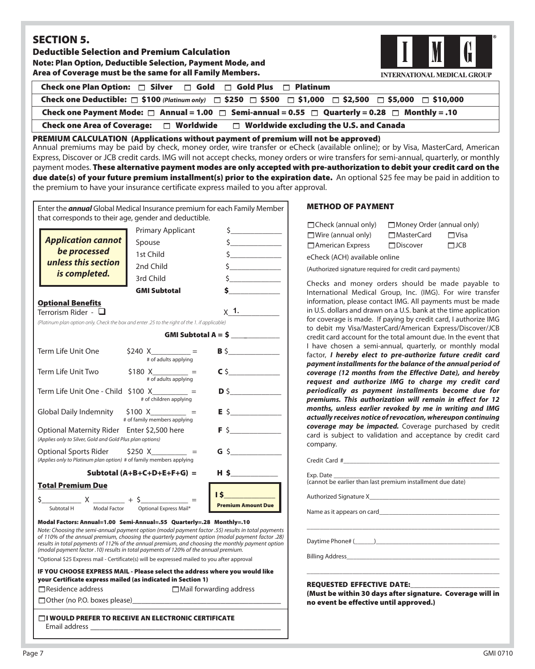## **SECTION 5.**

**Deductible Selection and Premium Calculation Note: Plan Option, Deductible Selection, Payment Mode, and Area of Coverage must be the same for all Family Members.**



| Check one Plan Option: $\Box$ Silver $\Box$ Gold $\Box$ Gold Plus $\Box$ Platinum                                   |  |  |
|---------------------------------------------------------------------------------------------------------------------|--|--|
| Check one Deductible: □ \$100 (Platinum only) □ \$250 □ \$500 □ \$1,000 □ \$2,500 □ \$5,000 □ \$10,000              |  |  |
| Check one Payment Mode: $\Box$ Annual = 1.00 $\Box$ Semi-annual = 0.55 $\Box$ Quarterly = 0.28 $\Box$ Monthly = .10 |  |  |
| $\Box$ Worldwide excluding the U.S. and Canada<br><b>Check one Area of Coverage:</b><br>$\Box$ Worldwide            |  |  |

**PREMIUM CALCULATION (Applications without payment of premium will not be approved)**

Annual premiums may be paid by check, money order, wire transfer or eCheck (available online); or by Visa, MasterCard, American Express, Discover or JCB credit cards. IMG will not accept checks, money orders or wire transfers for semi-annual, quarterly, or monthly payment modes. **These alternative payment modes are only accepted with pre-authorization to debit your credit card on the due date(s) of your future premium installment(s) prior to the expiration date.** An optional \$25 fee may be paid in addition to the premium to have your insurance certificate express mailed to you after approval.

| Enter the <i>annual</i> Global Medical Insurance premium for each Family Member<br>that corresponds to their age, gender and deductible.                                                                                                                                                                                                                                                                                                                                                                                                                                |                                            |                                 |
|-------------------------------------------------------------------------------------------------------------------------------------------------------------------------------------------------------------------------------------------------------------------------------------------------------------------------------------------------------------------------------------------------------------------------------------------------------------------------------------------------------------------------------------------------------------------------|--------------------------------------------|---------------------------------|
|                                                                                                                                                                                                                                                                                                                                                                                                                                                                                                                                                                         | <b>Primary Applicant</b>                   | $\zeta$                         |
| <b>Application cannot</b><br>be processed                                                                                                                                                                                                                                                                                                                                                                                                                                                                                                                               | Spouse                                     | $\frac{1}{2}$                   |
|                                                                                                                                                                                                                                                                                                                                                                                                                                                                                                                                                                         | 1st Child                                  | $\frac{1}{2}$                   |
| unless this section                                                                                                                                                                                                                                                                                                                                                                                                                                                                                                                                                     | 2nd Child                                  | $\frac{1}{2}$                   |
| is completed.                                                                                                                                                                                                                                                                                                                                                                                                                                                                                                                                                           | 3rd Child                                  | $\frac{1}{2}$                   |
|                                                                                                                                                                                                                                                                                                                                                                                                                                                                                                                                                                         | <b>GMI Subtotal</b>                        |                                 |
| <b>Optional Benefits</b>                                                                                                                                                                                                                                                                                                                                                                                                                                                                                                                                                |                                            |                                 |
| Terrorism Rider - $\,\Box$                                                                                                                                                                                                                                                                                                                                                                                                                                                                                                                                              |                                            | $\times$ 1.                     |
| (Platinum plan option only. Check the box and enter .25 to the right of the 1. if applicable)                                                                                                                                                                                                                                                                                                                                                                                                                                                                           |                                            |                                 |
|                                                                                                                                                                                                                                                                                                                                                                                                                                                                                                                                                                         |                                            | GMI Subtotal A = $$$ __________ |
| Term Life Unit One                                                                                                                                                                                                                                                                                                                                                                                                                                                                                                                                                      | \$240 X_________ =<br># of adults applying | $B \S$                          |
| Term Life Unit Two                                                                                                                                                                                                                                                                                                                                                                                                                                                                                                                                                      | \$180 $X_{\text{# of adults applying}} =$  | $C$ \$                          |
| $\mathsf{D} \mathsf{S}$<br>Term Life Unit One - Child \$100 X_______ =<br># of children applying                                                                                                                                                                                                                                                                                                                                                                                                                                                                        |                                            |                                 |
| Global Daily Indemnity $$100 X$ ________ =<br>$E$ \$<br># of family members applying                                                                                                                                                                                                                                                                                                                                                                                                                                                                                    |                                            |                                 |
| $F$ \$<br>Optional Maternity Rider Enter \$2,500 here<br>(Applies only to Silver, Gold and Gold Plus plan options)                                                                                                                                                                                                                                                                                                                                                                                                                                                      |                                            |                                 |
| Optional Sports Rider \$250 X_________ =<br>(Applies only to Platinum plan option) # of family members applying                                                                                                                                                                                                                                                                                                                                                                                                                                                         |                                            |                                 |
| $H$ \$<br>Subtotal $(A+B+C+D+E+F+G)$ =                                                                                                                                                                                                                                                                                                                                                                                                                                                                                                                                  |                                            |                                 |
| <b>Total Premium Due</b>                                                                                                                                                                                                                                                                                                                                                                                                                                                                                                                                                |                                            |                                 |
| $5$ X $\frac{1}{2}$ + 5 $\frac{1}{2}$ =                                                                                                                                                                                                                                                                                                                                                                                                                                                                                                                                 |                                            | IS I                            |
| Subtotal H                                                                                                                                                                                                                                                                                                                                                                                                                                                                                                                                                              | Modal Factor Optional Express Mail*        | <b>Premium Amount Due</b>       |
| Modal Factors: Annual=1.00 Semi-Annual=.55 Quarterly=.28 Monthly=.10<br>Note: Choosing the semi-annual payment option (modal payment factor .55) results in total payments<br>of 110% of the annual premium, choosing the quarterly payment option (modal payment factor .28)<br>results in total payments of 112% of the annual premium, and choosing the monthly payment option<br>(modal payment factor .10) results in total payments of 120% of the annual premium.<br>*Optional \$25 Express mail - Certificate(s) will be expressed mailed to you after approval |                                            |                                 |

#### **IF YOU CHOOSE EXPRESS MAIL - Please select the address where you would like your Certificate express mailed (as indicated in Section 1)**

-Residence address -Mail forwarding address -Other (no P.O. boxes please)**\_\_\_\_\_\_\_\_\_\_\_\_\_\_\_\_\_\_\_\_\_\_\_\_\_\_\_\_\_\_\_\_**

-**I WOULD PREFER TO RECEIVE AN ELECTRONIC CERTIFICATE** Email address **\_\_\_\_\_\_\_\_\_\_\_\_\_\_\_\_\_\_\_\_\_\_\_\_\_\_\_\_\_\_\_\_\_\_\_\_\_\_\_\_\_** 

#### **METHOD OF PAYMENT**

| $\Box$ Check (annual only) | $\Box$ Money Order (annual only) |              |
|----------------------------|----------------------------------|--------------|
| $\Box$ Wire (annual only)  | <b>□</b> MasterCard              | <b>⊡Visa</b> |
| $\Box$ American Express    | $\Box$ Discover                  | $\Box$ JCB   |

eCheck (ACH) available online

(Authorized signature required for credit card payments)

Checks and money orders should be made payable to International Medical Group, Inc. (IMG). For wire transfer information, please contact IMG. All payments must be made in U.S. dollars and drawn on a U.S. bank at the time application for coverage is made. If paying by credit card, I authorize IMG to debit my Visa/MasterCard/American Express/Discover/JCB credit card account for the total amount due. In the event that I have chosen a semi-annual, quarterly, or monthly modal factor, *I hereby elect to pre-authorize future credit card payment installments for the balance of the annual period of coverage (12 months from the Effective Date), and hereby request and authorize IMG to charge my credit card periodically as payment installments become due for premiums. This authorization will remain in effect for 12 months, unless earlier revoked by me in writing and IMG actually receives notice of revocation, whereupon continuing coverage may be impacted.* Coverage purchased by credit card is subject to validation and acceptance by credit card company.

Credit Card #\_\_\_\_\_\_\_\_\_\_\_\_\_\_\_\_\_\_\_\_\_\_\_\_\_\_\_\_\_\_\_\_\_\_\_\_\_\_\_\_\_\_\_\_\_\_\_\_

Exp. Date \_\_\_\_\_\_\_\_\_\_\_\_\_\_\_\_\_\_\_\_\_\_\_\_\_\_\_\_\_\_\_\_\_\_\_\_\_\_\_\_\_\_\_\_\_\_\_\_\_\_\_ (cannot be earlier than last premium installment due date)

Authorized Signature X\_

Name as it appears on card

Daytime Phone# (\_\_\_\_\_\_)\_\_\_\_\_\_\_\_\_\_\_\_\_\_\_\_\_\_\_\_\_\_\_\_\_\_\_\_\_\_\_\_\_\_\_\_\_\_

Billing Address

#### **REQUESTED EFFECTIVE DATE:**

**(Must be within 30 days after signature. Coverage will in no event be effective until approved.)**

\_\_\_\_\_\_\_\_\_\_\_\_\_\_\_\_\_\_\_\_\_\_\_\_\_\_\_\_\_\_\_\_\_\_\_\_\_\_\_\_\_\_\_\_\_\_\_\_\_\_\_\_\_\_\_\_\_\_\_

\_\_\_\_\_\_\_\_\_\_\_\_\_\_\_\_\_\_\_\_\_\_\_\_\_\_\_\_\_\_\_\_\_\_\_\_\_\_\_\_\_\_\_\_\_\_\_\_\_\_\_\_\_\_\_\_\_\_\_